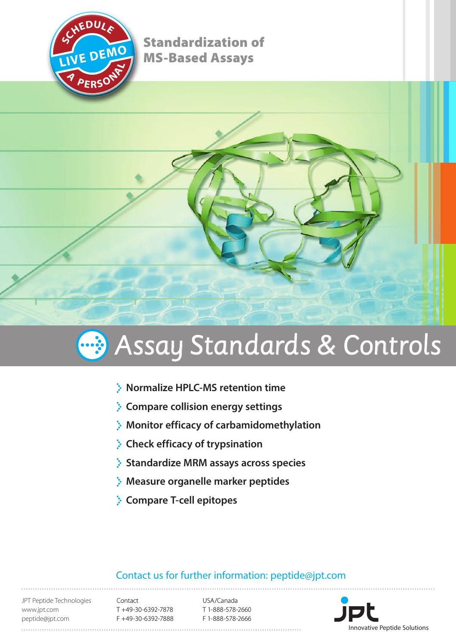

Standardization of MS-Based Assays





- **Normalize HPLC-MS retention time**
- **Compare collision energy settings**
- **Monitor efficacy of carbamidomethylation**
- **Check efficacy of trypsination**
- **Standardize MRM assays across species**
- **Measure organelle marker peptides**
- **Compare T-cell epitopes**

## Contact us for further information: peptide@jpt.com

JPT Peptide Technologies www.jpt.com peptide@jpt.com

Contact T +49-30-6392-7878 F +49-30-6392-7888

USA/Canada T 1-888-578-2660 F 1-888-578-2666